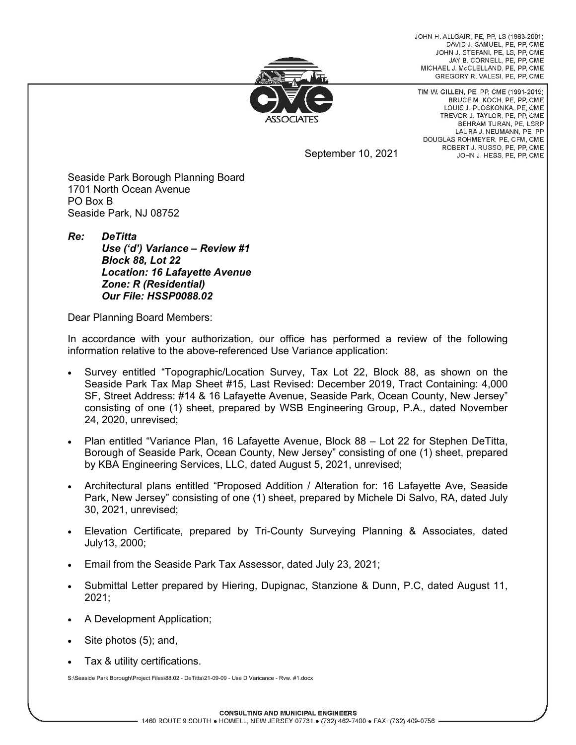JOHN H. ALLGAIR, PE, PP, LS (1983-2001) DAVID J. SAMUEL, PE, PP, CME JOHN J. STEFANI, PE, LS, PP, CME JAY B. CORNELL, PE, PP, CME MICHAEL J. McCLELLAND, PE. PP. CME GREGORY R. VALESI, PE, PP, CME



TIM W. GILLEN, PE, PP, CME (1991-2019) BRUCE M. KOCH, PE, PP, CME LOUIS J. PLOSKONKA, PE, CME TREVOR J. TAYLOR, PE, PP, CME BEHRAM TURAN, PE. LSRP LAURA J. NEUMANN, PE, PP DOUGLAS ROHMEYER, PE, CFM, CME ROBERT J. RUSSO, PE, PP, CME JOHN J. HESS, PE, PP, CME

September 10, 2021

Seaside Park Borough Planning Board 1701 North Ocean Avenue PO Box B Seaside Park, NJ 08752

*Re: DeTitta Use ('d') Variance – Review #1 Block 88, Lot 22 Location: 16 Lafayette Avenue Zone: R (Residential) Our File: HSSP0088.02* 

Dear Planning Board Members:

In accordance with your authorization, our office has performed a review of the following information relative to the above-referenced Use Variance application:

- Survey entitled "Topographic/Location Survey, Tax Lot 22, Block 88, as shown on the Seaside Park Tax Map Sheet #15, Last Revised: December 2019, Tract Containing: 4,000 SF, Street Address: #14 & 16 Lafayette Avenue, Seaside Park, Ocean County, New Jersey" consisting of one (1) sheet, prepared by WSB Engineering Group, P.A., dated November 24, 2020, unrevised;
- Plan entitled "Variance Plan, 16 Lafayette Avenue, Block 88 Lot 22 for Stephen DeTitta, Borough of Seaside Park, Ocean County, New Jersey" consisting of one (1) sheet, prepared by KBA Engineering Services, LLC, dated August 5, 2021, unrevised;
- Architectural plans entitled "Proposed Addition / Alteration for: 16 Lafayette Ave, Seaside Park, New Jersey" consisting of one (1) sheet, prepared by Michele Di Salvo, RA, dated July 30, 2021, unrevised;
- Elevation Certificate, prepared by Tri-County Surveying Planning & Associates, dated July13, 2000;
- Email from the Seaside Park Tax Assessor, dated July 23, 2021;
- Submittal Letter prepared by Hiering, Dupignac, Stanzione & Dunn, P.C, dated August 11, 2021;
- A Development Application;
- Site photos (5); and,
- Tax & utility certifications.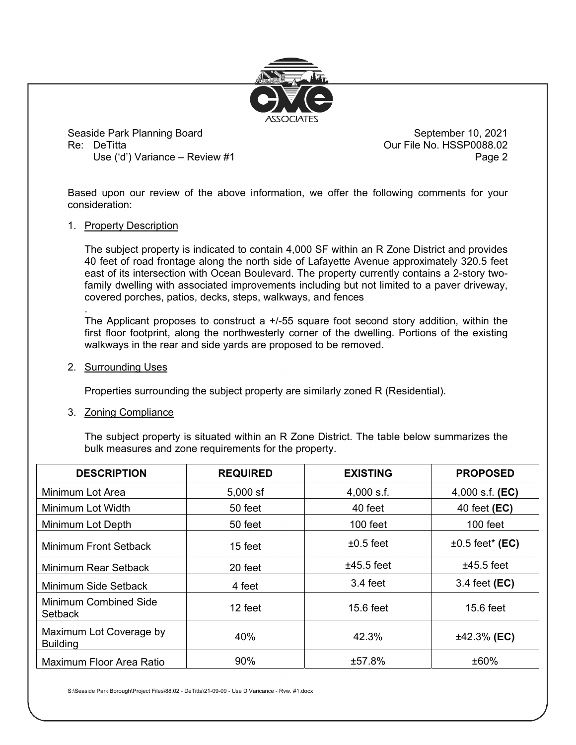

Seaside Park Planning Board **Seaside Park Planning Board** September 10, 2021 Re: DeTitta **Contract Contract Contract Contract Contract Contract Contract Contract Contract Contract Contract Contract Contract Contract Contract Contract Contract Contract Contract Contract Contract Contract Contract Co** Use ('d') Variance – Review #1 Page 2

Based upon our review of the above information, we offer the following comments for your consideration:

## 1. Property Description

The subject property is indicated to contain 4,000 SF within an R Zone District and provides 40 feet of road frontage along the north side of Lafayette Avenue approximately 320.5 feet east of its intersection with Ocean Boulevard. The property currently contains a 2-story twofamily dwelling with associated improvements including but not limited to a paver driveway, covered porches, patios, decks, steps, walkways, and fences

The Applicant proposes to construct a +/-55 square foot second story addition, within the first floor footprint, along the northwesterly corner of the dwelling. Portions of the existing walkways in the rear and side yards are proposed to be removed.

2. Surrounding Uses

.

Properties surrounding the subject property are similarly zoned R (Residential).

3. Zoning Compliance

The subject property is situated within an R Zone District. The table below summarizes the bulk measures and zone requirements for the property.

| <b>DESCRIPTION</b>                         | <b>REQUIRED</b> | <b>EXISTING</b> | <b>PROPOSED</b>        |
|--------------------------------------------|-----------------|-----------------|------------------------|
| Minimum Lot Area                           | $5,000$ sf      | $4,000$ s.f.    | 4,000 s.f. $(EC)$      |
| Minimum Lot Width                          | 50 feet         | 40 feet         | 40 feet ( <b>EC</b> )  |
| Minimum Lot Depth                          | 50 feet         | $100$ feet      | $100$ feet             |
| <b>Minimum Front Setback</b>               | 15 feet         | $\pm 0.5$ feet  | $\pm 0.5$ feet* (EC)   |
| Minimum Rear Setback                       | 20 feet         | $±45.5$ feet    | $±45.5$ feet           |
| Minimum Side Setback                       | 4 feet          | 3.4 feet        | 3.4 feet ( <b>EC</b> ) |
| <b>Minimum Combined Side</b><br>Setback    | 12 feet         | $15.6$ feet     | 15.6 feet              |
| Maximum Lot Coverage by<br><b>Building</b> | 40%             | 42.3%           | $±42.3%$ (EC)          |
| Maximum Floor Area Ratio                   | 90%             | ±57.8%          | ±60%                   |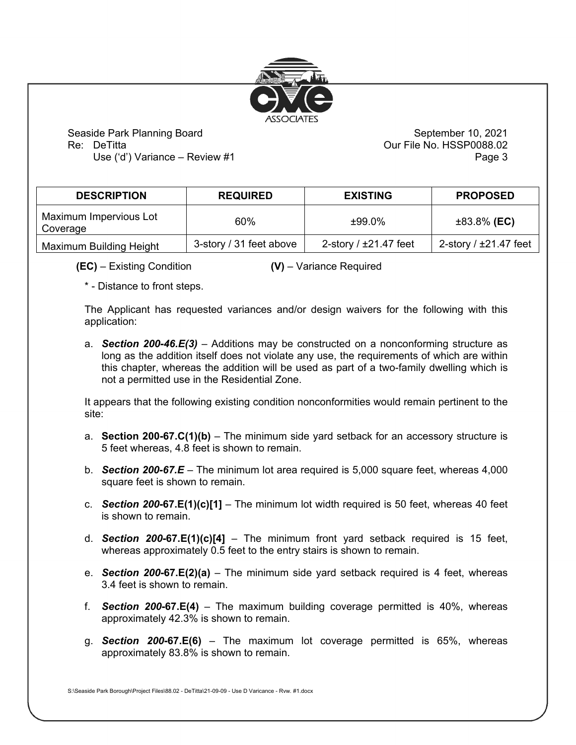

Seaside Park Planning Board **Seaside Park Planning Board** September 10, 2021 Re: DeTitta Our File No. HSSP0088.02

Use ('d') Variance – Review #1 Page 3

| <b>DESCRIPTION</b>                 | <b>REQUIRED</b>         | <b>EXISTING</b>         | <b>PROPOSED</b>            |
|------------------------------------|-------------------------|-------------------------|----------------------------|
| Maximum Impervious Lot<br>Coverage | 60%                     | $±99.0\%$               | $±83.8\%$ (EC)             |
| Maximum Building Height            | 3-story / 31 feet above | 2-story $/$ ±21.47 feet | 2-story / $\pm$ 21.47 feet |

**(EC)** – Existing Condition **(V)** – Variance Required

\* - Distance to front steps.

The Applicant has requested variances and/or design waivers for the following with this application:

a. *Section 200-46.E(3)* – Additions may be constructed on a nonconforming structure as long as the addition itself does not violate any use, the requirements of which are within this chapter, whereas the addition will be used as part of a two-family dwelling which is not a permitted use in the Residential Zone.

It appears that the following existing condition nonconformities would remain pertinent to the site:

- a. **Section 200-67.C(1)(b)** The minimum side yard setback for an accessory structure is 5 feet whereas, 4.8 feet is shown to remain.
- b. *Section 200-67.E*  The minimum lot area required is 5,000 square feet, whereas 4,000 square feet is shown to remain.
- c. *Section 200***-67.E(1)(c)[1]** The minimum lot width required is 50 feet, whereas 40 feet is shown to remain.
- d. *Section 200***-67.E(1)(c)[4]** The minimum front yard setback required is 15 feet, whereas approximately 0.5 feet to the entry stairs is shown to remain.
- e. *Section 200***-67.E(2)(a)** The minimum side yard setback required is 4 feet, whereas 3.4 feet is shown to remain.
- f. *Section 200***-67.E(4)** The maximum building coverage permitted is 40%, whereas approximately 42.3% is shown to remain.
- g. *Section 200***-67.E(6)** The maximum lot coverage permitted is 65%, whereas approximately 83.8% is shown to remain.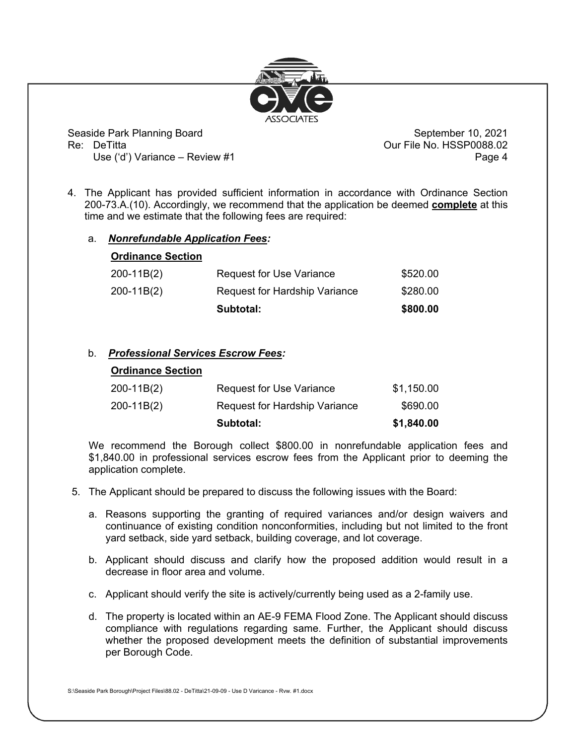

Seaside Park Planning Board **Seaside Park Planning Board** September 10, 2021 Re: DeTitta Our File No. HSSP0088.02

Use ('d') Variance – Review #1 Page 4

4. The Applicant has provided sufficient information in accordance with Ordinance Section 200-73.A.(10). Accordingly, we recommend that the application be deemed **complete** at this time and we estimate that the following fees are required:

## a. *Nonrefundable Application Fees:*

**Ordinance Section**

| <u> Thurist Studie</u> |                                      |          |
|------------------------|--------------------------------------|----------|
| 200-11B(2)             | <b>Request for Use Variance</b>      | \$520.00 |
| 200-11B(2)             | <b>Request for Hardship Variance</b> | \$280.00 |
|                        | Subtotal:                            | \$800.00 |

## b. *Professional Services Escrow Fees:*

| <b>Ordinance Section</b> |                                      |            |
|--------------------------|--------------------------------------|------------|
| $200-11B(2)$             | <b>Request for Use Variance</b>      | \$1,150.00 |
| $200-11B(2)$             | <b>Request for Hardship Variance</b> | \$690.00   |
|                          | Subtotal:                            | \$1,840.00 |

We recommend the Borough collect \$800.00 in nonrefundable application fees and \$1,840.00 in professional services escrow fees from the Applicant prior to deeming the application complete.

- 5. The Applicant should be prepared to discuss the following issues with the Board:
	- a. Reasons supporting the granting of required variances and/or design waivers and continuance of existing condition nonconformities, including but not limited to the front yard setback, side yard setback, building coverage, and lot coverage.
	- b. Applicant should discuss and clarify how the proposed addition would result in a decrease in floor area and volume.
	- c. Applicant should verify the site is actively/currently being used as a 2-family use.
	- d. The property is located within an AE-9 FEMA Flood Zone. The Applicant should discuss compliance with regulations regarding same. Further, the Applicant should discuss whether the proposed development meets the definition of substantial improvements per Borough Code.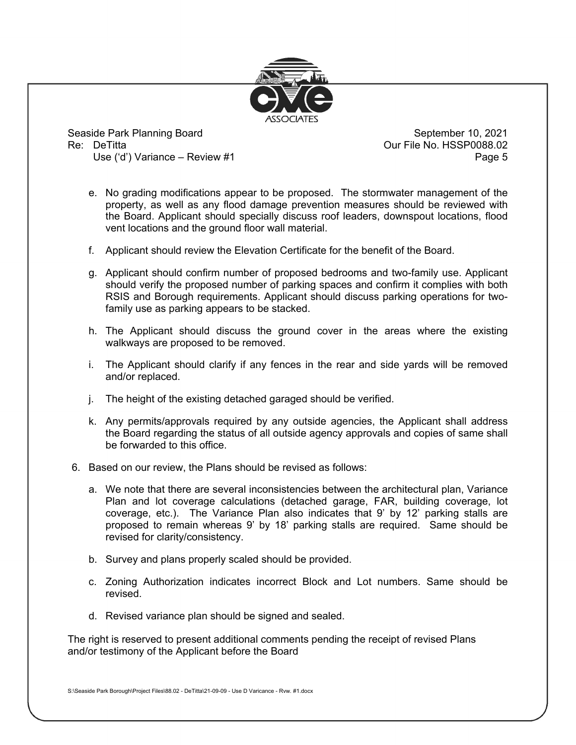

Seaside Park Planning Board **Seaside Park Planning Board** September 10, 2021 Re: DeTitta Our File No. HSSP0088.02

Use ('d') Variance – Review #1 Page 5

- e. No grading modifications appear to be proposed. The stormwater management of the property, as well as any flood damage prevention measures should be reviewed with the Board. Applicant should specially discuss roof leaders, downspout locations, flood vent locations and the ground floor wall material.
- f. Applicant should review the Elevation Certificate for the benefit of the Board.
- g. Applicant should confirm number of proposed bedrooms and two-family use. Applicant should verify the proposed number of parking spaces and confirm it complies with both RSIS and Borough requirements. Applicant should discuss parking operations for twofamily use as parking appears to be stacked.
- h. The Applicant should discuss the ground cover in the areas where the existing walkways are proposed to be removed.
- i. The Applicant should clarify if any fences in the rear and side yards will be removed and/or replaced.
- j. The height of the existing detached garaged should be verified.
- k. Any permits/approvals required by any outside agencies, the Applicant shall address the Board regarding the status of all outside agency approvals and copies of same shall be forwarded to this office.
- 6. Based on our review, the Plans should be revised as follows:
	- a. We note that there are several inconsistencies between the architectural plan, Variance Plan and lot coverage calculations (detached garage, FAR, building coverage, lot coverage, etc.). The Variance Plan also indicates that 9' by 12' parking stalls are proposed to remain whereas 9' by 18' parking stalls are required. Same should be revised for clarity/consistency.
	- b. Survey and plans properly scaled should be provided.
	- c. Zoning Authorization indicates incorrect Block and Lot numbers. Same should be revised.
	- d. Revised variance plan should be signed and sealed.

The right is reserved to present additional comments pending the receipt of revised Plans and/or testimony of the Applicant before the Board